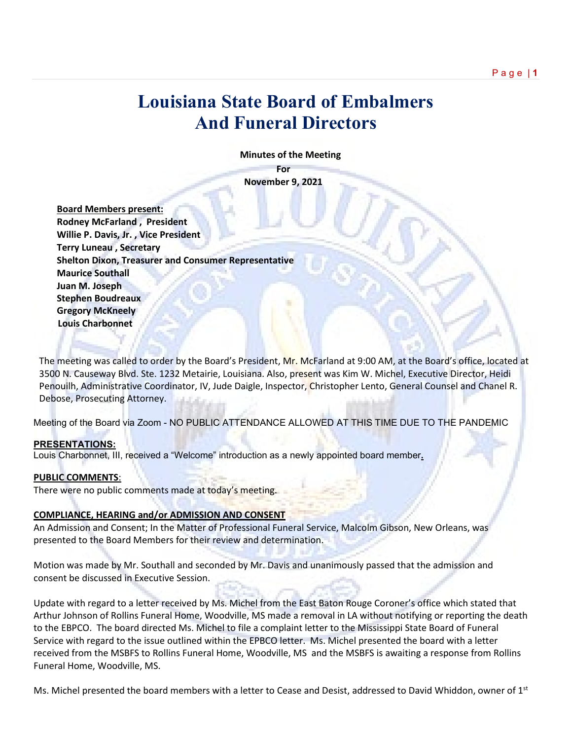# **Louisiana State Board of Embalmers And Funeral Directors**

 **Minutes of the Meeting**

**For November 9, 2021**

 **Board Members present: Rodney McFarland , President Willie P. Davis, Jr. , Vice President Terry Luneau , Secretary Shelton Dixon, Treasurer and Consumer Representative Maurice Southall Juan M. Joseph Stephen Boudreaux Gregory McKneely Louis Charbonnet**

The meeting was called to order by the Board's President, Mr. McFarland at 9:00 AM, at the Board's office, located at 3500 N. Causeway Blvd. Ste. 1232 Metairie, Louisiana. Also, present was Kim W. Michel, Executive Director, Heidi Penouilh, Administrative Coordinator, IV, Jude Daigle, Inspector, Christopher Lento, General Counsel and Chanel R. Debose, Prosecuting Attorney.

Meeting of the Board via Zoom - NO PUBLIC ATTENDANCE ALLOWED AT THIS TIME DUE TO THE PANDEMIC

## **PRESENTATIONS:**

Louis Charbonnet, III, received a "Welcome" introduction as a newly appointed board member**.**

#### **PUBLIC COMMENTS**:

There were no public comments made at today's meeting.

#### **COMPLIANCE, HEARING and/or ADMISSION AND CONSENT**

An Admission and Consent; In the Matter of Professional Funeral Service, Malcolm Gibson, New Orleans, was presented to the Board Members for their review and determination.

Motion was made by Mr. Southall and seconded by Mr. Davis and unanimously passed that the admission and consent be discussed in Executive Session.

Update with regard to a letter received by Ms. Michel from the East Baton Rouge Coroner's office which stated that Arthur Johnson of Rollins Funeral Home, Woodville, MS made a removal in LA without notifying or reporting the death to the EBPCO. The board directed Ms. Michel to file a complaint letter to the Mississippi State Board of Funeral Service with regard to the issue outlined within the EPBCO letter. Ms. Michel presented the board with a letter received from the MSBFS to Rollins Funeral Home, Woodville, MS and the MSBFS is awaiting a response from Rollins Funeral Home, Woodville, MS.

Ms. Michel presented the board members with a letter to Cease and Desist, addressed to David Whiddon, owner of  $1^{st}$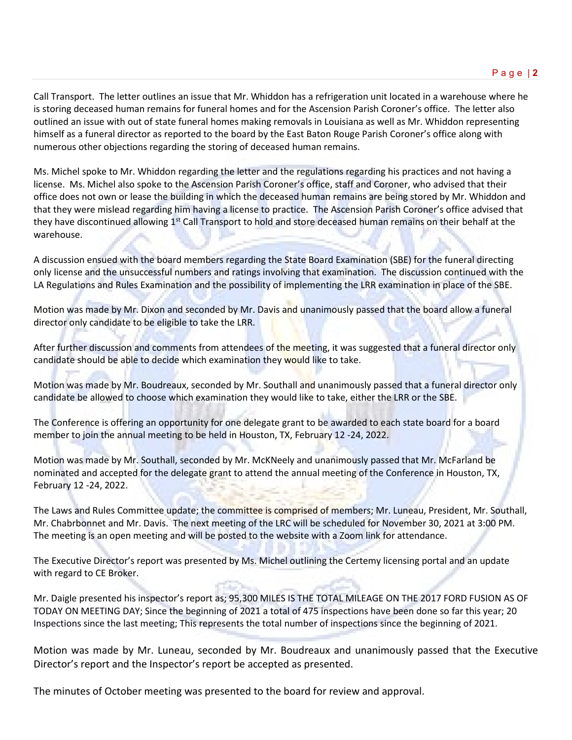Call Transport. The letter outlines an issue that Mr. Whiddon has a refrigeration unit located in a warehouse where he is storing deceased human remains for funeral homes and for the Ascension Parish Coroner's office. The letter also outlined an issue with out of state funeral homes making removals in Louisiana as well as Mr. Whiddon representing himself as a funeral director as reported to the board by the East Baton Rouge Parish Coroner's office along with numerous other objections regarding the storing of deceased human remains.

Ms. Michel spoke to Mr. Whiddon regarding the letter and the regulations regarding his practices and not having a license. Ms. Michel also spoke to the Ascension Parish Coroner's office, staff and Coroner, who advised that their office does not own or lease the building in which the deceased human remains are being stored by Mr. Whiddon and that they were mislead regarding him having a license to practice. The Ascension Parish Coroner's office advised that they have discontinued allowing  $1<sup>st</sup>$  Call Transport to hold and store deceased human remains on their behalf at the warehouse.

A discussion ensued with the board members regarding the State Board Examination (SBE) for the funeral directing only license and the unsuccessful numbers and ratings involving that examination. The discussion continued with the LA Regulations and Rules Examination and the possibility of implementing the LRR examination in place of the SBE.

Motion was made by Mr. Dixon and seconded by Mr. Davis and unanimously passed that the board allow a funeral director only candidate to be eligible to take the LRR.

After further discussion and comments from attendees of the meeting, it was suggested that a funeral director only candidate should be able to decide which examination they would like to take.

Motion was made by Mr. Boudreaux, seconded by Mr. Southall and unanimously passed that a funeral director only candidate be allowed to choose which examination they would like to take, either the LRR or the SBE.

The Conference is offering an opportunity for one delegate grant to be awarded to each state board for a board member to join the annual meeting to be held in Houston, TX, February 12 -24, 2022.

Motion was made by Mr. Southall, seconded by Mr. McKNeely and unanimously passed that Mr. McFarland be nominated and accepted for the delegate grant to attend the annual meeting of the Conference in Houston, TX, February 12 -24, 2022.

The Laws and Rules Committee update; the committee is comprised of members; Mr. Luneau, President, Mr. Southall, Mr. Chabrbonnet and Mr. Davis. The next meeting of the LRC will be scheduled for November 30, 2021 at 3:00 PM. The meeting is an open meeting and will be posted to the website with a Zoom link for attendance.

The Executive Director's report was presented by Ms. Michel outlining the Certemy licensing portal and an update with regard to CE Broker.

Mr. Daigle presented his inspector's report as; 95,300 MILES IS THE TOTAL MILEAGE ON THE 2017 FORD FUSION AS OF TODAY ON MEETING DAY; Since the beginning of 2021 a total of 475 inspections have been done so far this year; 20 Inspections since the last meeting; This represents the total number of inspections since the beginning of 2021.

Motion was made by Mr. Luneau, seconded by Mr. Boudreaux and unanimously passed that the Executive Director's report and the Inspector's report be accepted as presented.

The minutes of October meeting was presented to the board for review and approval.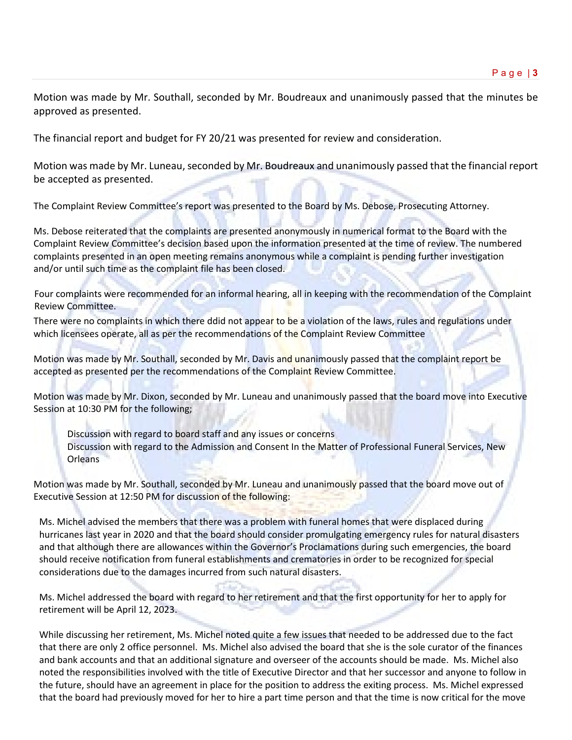Motion was made by Mr. Southall, seconded by Mr. Boudreaux and unanimously passed that the minutes be approved as presented.

The financial report and budget for FY 20/21 was presented for review and consideration.

Motion was made by Mr. Luneau, seconded by Mr. Boudreaux and unanimously passed that the financial report be accepted as presented.

The Complaint Review Committee's report was presented to the Board by Ms. Debose, Prosecuting Attorney.

Ms. Debose reiterated that the complaints are presented anonymously in numerical format to the Board with the Complaint Review Committee's decision based upon the information presented at the time of review. The numbered complaints presented in an open meeting remains anonymous while a complaint is pending further investigation and/or until such time as the complaint file has been closed.

Four complaints were recommended for an informal hearing, all in keeping with the recommendation of the Complaint Review Committee.

There were no complaints in which there ddid not appear to be a violation of the laws, rules and regulations under which licensees operate, all as per the recommendations of the Complaint Review Committee

Motion was made by Mr. Southall, seconded by Mr. Davis and unanimously passed that the complaint report be accepted as presented per the recommendations of the Complaint Review Committee.

Motion was made by Mr. Dixon, seconded by Mr. Luneau and unanimously passed that the board move into Executive Session at 10:30 PM for the following;

Discussion with regard to board staff and any issues or concerns Discussion with regard to the Admission and Consent In the Matter of Professional Funeral Services, New **Orleans** 

Motion was made by Mr. Southall, seconded by Mr. Luneau and unanimously passed that the board move out of Executive Session at 12:50 PM for discussion of the following:

Ms. Michel advised the members that there was a problem with funeral homes that were displaced during hurricanes last year in 2020 and that the board should consider promulgating emergency rules for natural disasters and that although there are allowances within the Governor's Proclamations during such emergencies, the board should receive notification from funeral establishments and crematories in order to be recognized for special considerations due to the damages incurred from such natural disasters.

Ms. Michel addressed the board with regard to her retirement and that the first opportunity for her to apply for retirement will be April 12, 2023.

While discussing her retirement, Ms. Michel noted quite a few issues that needed to be addressed due to the fact that there are only 2 office personnel. Ms. Michel also advised the board that she is the sole curator of the finances and bank accounts and that an additional signature and overseer of the accounts should be made. Ms. Michel also noted the responsibilities involved with the title of Executive Director and that her successor and anyone to follow in the future, should have an agreement in place for the position to address the exiting process. Ms. Michel expressed that the board had previously moved for her to hire a part time person and that the time is now critical for the move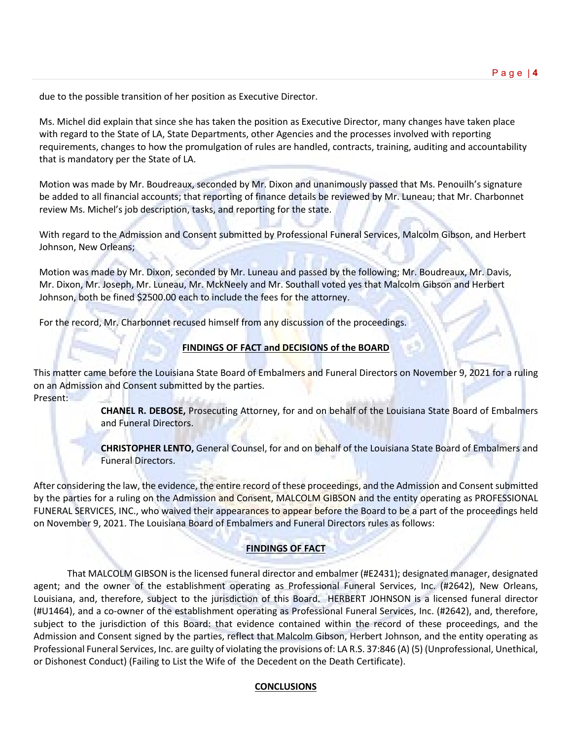due to the possible transition of her position as Executive Director.

Ms. Michel did explain that since she has taken the position as Executive Director, many changes have taken place with regard to the State of LA, State Departments, other Agencies and the processes involved with reporting requirements, changes to how the promulgation of rules are handled, contracts, training, auditing and accountability that is mandatory per the State of LA.

Motion was made by Mr. Boudreaux, seconded by Mr. Dixon and unanimously passed that Ms. Penouilh's signature be added to all financial accounts; that reporting of finance details be reviewed by Mr. Luneau; that Mr. Charbonnet review Ms. Michel's job description, tasks, and reporting for the state.

With regard to the Admission and Consent submitted by Professional Funeral Services, Malcolm Gibson, and Herbert Johnson, New Orleans;

Motion was made by Mr. Dixon, seconded by Mr. Luneau and passed by the following; Mr. Boudreaux, Mr. Davis, Mr. Dixon, Mr. Joseph, Mr. Luneau, Mr. MckNeely and Mr. Southall voted yes that Malcolm Gibson and Herbert Johnson, both be fined \$2500.00 each to include the fees for the attorney.

For the record, Mr. Charbonnet recused himself from any discussion of the proceedings.

# **FINDINGS OF FACT and DECISIONS of the BOARD**

This matter came before the Louisiana State Board of Embalmers and Funeral Directors on November 9, 2021 for a ruling on an Admission and Consent submitted by the parties. Present:

> **CHANEL R. DEBOSE,** Prosecuting Attorney, for and on behalf of the Louisiana State Board of Embalmers and Funeral Directors.

> **CHRISTOPHER LENTO,** General Counsel, for and on behalf of the Louisiana State Board of Embalmers and Funeral Directors.

After considering the law, the evidence, the entire record of these proceedings, and the Admission and Consent submitted by the parties for a ruling on the Admission and Consent, MALCOLM GIBSON and the entity operating as PROFESSIONAL FUNERAL SERVICES, INC., who waived their appearances to appear before the Board to be a part of the proceedings held on November 9, 2021. The Louisiana Board of Embalmers and Funeral Directors rules as follows:

# **FINDINGS OF FACT**

That MALCOLM GIBSON is the licensed funeral director and embalmer (#E2431); designated manager, designated agent; and the owner of the establishment operating as Professional Funeral Services, Inc. (#2642), New Orleans, Louisiana, and, therefore, subject to the jurisdiction of this Board. HERBERT JOHNSON is a licensed funeral director (#U1464), and a co-owner of the establishment operating as Professional Funeral Services, Inc. (#2642), and, therefore, subject to the jurisdiction of this Board: that evidence contained within the record of these proceedings, and the Admission and Consent signed by the parties, reflect that Malcolm Gibson, Herbert Johnson, and the entity operating as Professional Funeral Services, Inc. are guilty of violating the provisions of: LA R.S. 37:846 (A) (5) (Unprofessional, Unethical, or Dishonest Conduct) (Failing to List the Wife of the Decedent on the Death Certificate).

# **CONCLUSIONS**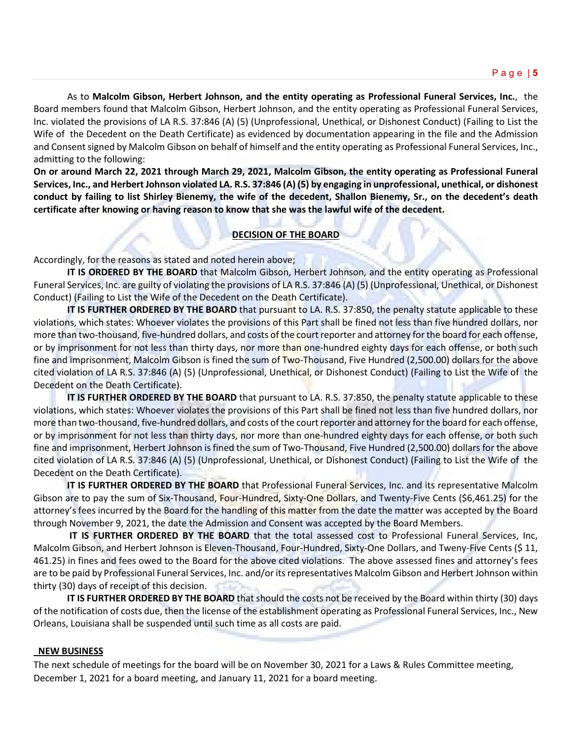As to **Malcolm Gibson, Herbert Johnson, and the entity operating as Professional Funeral Services, Inc.**, the Board members found that Malcolm Gibson, Herbert Johnson, and the entity operating as Professional Funeral Services, Inc. violated the provisions of LA R.S. 37:846 (A) (5) (Unprofessional, Unethical, or Dishonest Conduct) (Failing to List the Wife of the Decedent on the Death Certificate) as evidenced by documentation appearing in the file and the Admission and Consent signed by Malcolm Gibson on behalf of himself and the entity operating as Professional Funeral Services, Inc., admitting to the following:

**On or around March 22, 2021 through March 29, 2021, Malcolm Gibson, the entity operating as Professional Funeral Services, Inc., and Herbert Johnson violated LA. R.S. 37:846 (A) (5) by engaging in unprofessional, unethical, or dishonest conduct by failing to list Shirley Bienemy, the wife of the decedent, Shallon Bienemy, Sr., on the decedent's death certificate after knowing or having reason to know that she was the lawful wife of the decedent.** 

## **DECISION OF THE BOARD**

Accordingly, for the reasons as stated and noted herein above;

**IT IS ORDERED BY THE BOARD** that Malcolm Gibson, Herbert Johnson, and the entity operating as Professional Funeral Services, Inc. are guilty of violating the provisions of LA R.S. 37:846 (A) (5) (Unprofessional, Unethical, or Dishonest Conduct) (Failing to List the Wife of the Decedent on the Death Certificate).

**IT IS FURTHER ORDERED BY THE BOARD** that pursuant to LA. R.S. 37:850, the penalty statute applicable to these violations, which states: Whoever violates the provisions of this Part shall be fined not less than five hundred dollars, nor more than two-thousand, five-hundred dollars, and costs of the court reporter and attorney for the board for each offense, or by imprisonment for not less than thirty days, nor more than one-hundred eighty days for each offense, or both such fine and imprisonment, Malcolm Gibson is fined the sum of Two-Thousand, Five Hundred (2,500.00) dollars for the above cited violation of LA R.S. 37:846 (A) (5) (Unprofessional, Unethical, or Dishonest Conduct) (Failing to List the Wife of the Decedent on the Death Certificate).

**IT IS FURTHER ORDERED BY THE BOARD** that pursuant to LA. R.S. 37:850, the penalty statute applicable to these violations, which states: Whoever violates the provisions of this Part shall be fined not less than five hundred dollars, nor more than two-thousand, five-hundred dollars, and costs of the court reporter and attorney for the board for each offense, or by imprisonment for not less than thirty days, nor more than one-hundred eighty days for each offense, or both such fine and imprisonment, Herbert Johnson is fined the sum of Two-Thousand, Five Hundred (2,500.00) dollars for the above cited violation of LA R.S. 37:846 (A) (5) (Unprofessional, Unethical, or Dishonest Conduct) (Failing to List the Wife of the Decedent on the Death Certificate).

**IT IS FURTHER ORDERED BY THE BOARD** that Professional Funeral Services, Inc. and its representative Malcolm Gibson are to pay the sum of Six-Thousand, Four-Hundred, Sixty-One Dollars, and Twenty-Five Cents (\$6,461.25) for the attorney's fees incurred by the Board for the handling of this matter from the date the matter was accepted by the Board through November 9, 2021, the date the Admission and Consent was accepted by the Board Members.

**IT IS FURTHER ORDERED BY THE BOARD** that the total assessed cost to Professional Funeral Services, Inc, Malcolm Gibson, and Herbert Johnson is Eleven-Thousand, Four-Hundred, Sixty-One Dollars, and Tweny-Five Cents (\$ 11, 461.25) in fines and fees owed to the Board for the above cited violations. The above assessed fines and attorney's fees are to be paid by Professional Funeral Services, Inc. and/or its representatives Malcolm Gibson and Herbert Johnson within thirty (30) days of receipt of this decision.

**IT IS FURTHER ORDERED BY THE BOARD** that should the costs not be received by the Board within thirty (30) days of the notification of costs due, then the license of the establishment operating as Professional Funeral Services, Inc., New Orleans, Louisiana shall be suspended until such time as all costs are paid.

#### **NEW BUSINESS**

The next schedule of meetings for the board will be on November 30, 2021 for a Laws & Rules Committee meeting, December 1, 2021 for a board meeting, and January 11, 2021 for a board meeting.